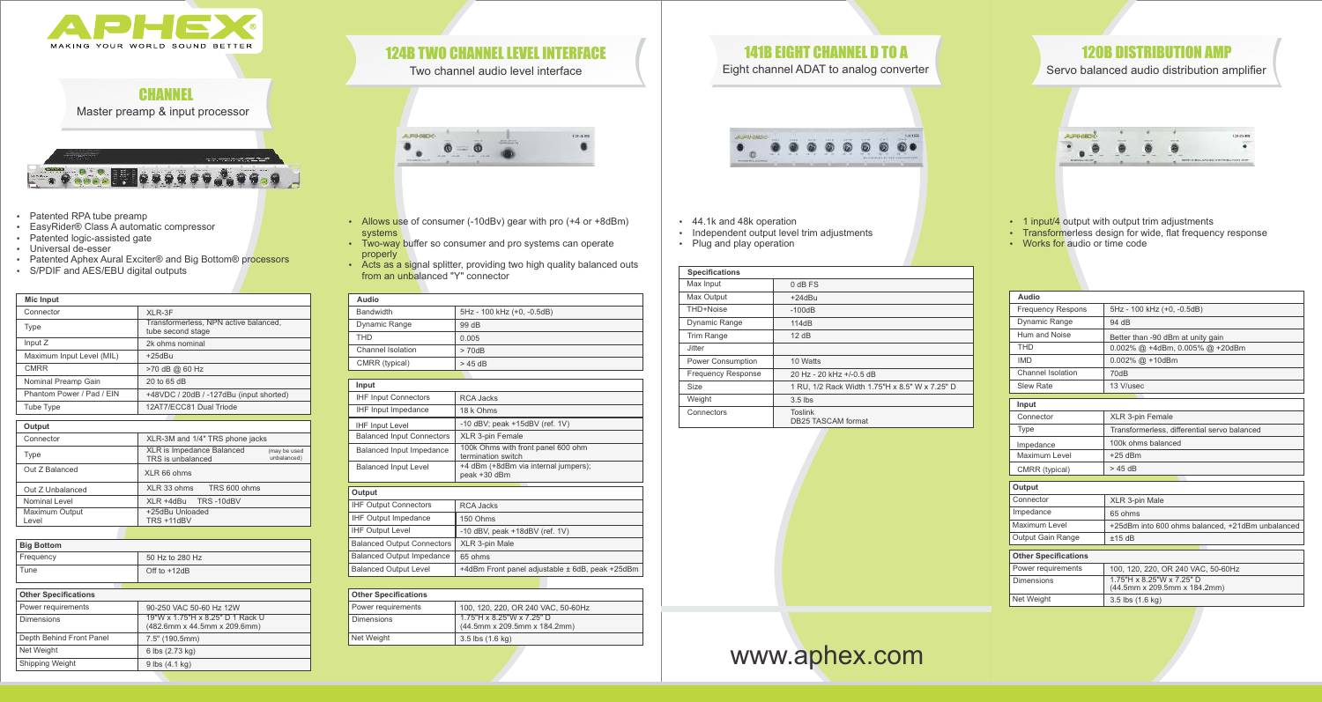| Audio                             |                                                          |
|-----------------------------------|----------------------------------------------------------|
| <b>Bandwidth</b>                  | 5Hz - 100 kHz (+0, -0.5dB)                               |
| Dynamic Range                     | 99 dB                                                    |
| <b>THD</b>                        | 0.005                                                    |
| Channel Isolation                 | > 70dB                                                   |
| CMRR (typical)                    | $>45$ dB                                                 |
|                                   |                                                          |
| Input                             |                                                          |
| <b>IHF Input Connectors</b>       | <b>RCA Jacks</b>                                         |
| <b>IHF Input Impedance</b>        | 18 k Ohms                                                |
| <b>IHF Input Level</b>            | $-10$ dBV; peak $+15$ dBV (ref. 1V)                      |
| <b>Balanced Input Connectors</b>  | <b>XLR 3-pin Female</b>                                  |
| <b>Balanced Input Impedance</b>   | 100k Ohms with front panel 600 ohm<br>termination switch |
| <b>Balanced Input Level</b>       | +4 dBm (+8dBm via internal jumpers);<br>peak +30 dBm     |
| Output                            |                                                          |
| <b>IHF Output Connectors</b>      | RCA Jacks                                                |
| <b>IHF Output Impedance</b>       | 150 Ohms                                                 |
| <b>IHF Output Level</b>           | -10 dBV, peak $+18$ dBV (ref. 1V)                        |
| <b>Balanced Output Connectors</b> | XLR 3-pin Male                                           |
| <b>Balanced Output Impedance</b>  | 65 ohms                                                  |
| <b>Balanced Output Level</b>      | +4dBm Front panel adjustable ± 6dB, peak +25dBm          |

| <b>Other Specifications</b> |                                                           |
|-----------------------------|-----------------------------------------------------------|
| Power requirements          | 100, 120, 220, OR 240 VAC, 50-60Hz                        |
| Dimensions                  | 1.75"H x 8.25"W x 7.25" D<br>(44.5mm x 209.5mm x 184.2mm) |
| Net Weight                  | 3.5 lbs (1.6 kg)                                          |

- 44.1k and 48k operation
- Independent output level trim adjustments
- Plug and play operation

| <b>Specifications</b>     |                                                |
|---------------------------|------------------------------------------------|
| Max Input                 | $0$ dB FS                                      |
| Max Output                | $+24dBu$                                       |
| THD+Noise                 | $-100dB$                                       |
| <b>Dynamic Range</b>      | 114dB                                          |
| <b>Trim Range</b>         | 12 dB                                          |
| Jitter                    |                                                |
| <b>Power Consumption</b>  | 10 Watts                                       |
| <b>Frequency Response</b> | 20 Hz - 20 kHz +/-0.5 dB                       |
| Size                      | 1 RU, 1/2 Rack Width 1.75"H x 8.5" W x 7.25" D |
| Weight                    | $3.5$ lbs                                      |
| Connectors                | <b>Toslink</b><br>DB25 TASCAM format           |

Eight channel ADAT to analog converter



Two channel audio level interface



- Allows use of consumer (-10dBv) gear with pro (+4 or +8dBm) systems
- Two-way buffer so consumer and pro systems can operate properly
- Acts as a signal splitter, providing two high quality balanced outs from an unbalanced "Y" connector
- Patented RPA tube preamp
- EasyRider® Class A automatic compressor
- Patented logic-assisted gate
- Universal de-esser
- Patented Aphex Aural Exciter® and Big Bottom® processors
- S/PDIF and AES/EBU digital outputs

| Audio                       |                                                           |
|-----------------------------|-----------------------------------------------------------|
| <b>Frequency Respons</b>    | 5Hz - 100 kHz (+0, -0.5dB)                                |
| Dynamic Range               | 94 dB                                                     |
| Hum and Noise               | Better than -90 dBm at unity gain                         |
| <b>THD</b>                  | $0.002\%$ @ +4dBm, $0.005\%$ @ +20dBm                     |
| <b>IMD</b>                  | $0.002\%$ @ +10dBm                                        |
| Channel Isolation           | 70dB                                                      |
| <b>Slew Rate</b>            | 13 V/usec                                                 |
|                             |                                                           |
| Input                       |                                                           |
| Connector                   | <b>XLR 3-pin Female</b>                                   |
| Type                        | Transformerless, differential servo balanced              |
| Impedance                   | 100k ohms balanced                                        |
| Maximum Level               | $+25$ dBm                                                 |
| CMRR (typical)              | $>45$ dB                                                  |
|                             |                                                           |
| Output                      |                                                           |
| Connector                   | XLR 3-pin Male                                            |
| Impedance                   | 65 ohms                                                   |
| Maximum Level               | +25dBm into 600 ohms balanced, +21dBm unbalanced          |
| <b>Output Gain Range</b>    | ±15dB                                                     |
| <b>Other Specifications</b> |                                                           |
|                             |                                                           |
| Power requirements          | 100, 120, 220, OR 240 VAC, 50-60Hz                        |
| <b>Dimensions</b>           | 1.75"H x 8.25"W x 7.25" D<br>(44.5mm x 209.5mm x 184.2mm) |
| Net Weight                  | $3.5$ lbs $(1.6 \text{ kg})$                              |
|                             |                                                           |

## 120B DISTRIBUTION AMP

Servo balanced audio distribution amplifier



- 1 input/4 output with output trim adjustments
- Transformerless design for wide, flat frequency response
- Works for audio or time code

| <b>Mic Input</b>            |                                                                               |
|-----------------------------|-------------------------------------------------------------------------------|
| Connector                   | XLR-3F                                                                        |
| <b>Type</b>                 | Transformerless, NPN active balanced,<br>tube second stage                    |
| Input Z                     | 2k ohms nominal                                                               |
| Maximum Input Level (MIL)   | $+25dBu$                                                                      |
| <b>CMRR</b>                 | >70 dB @ 60 Hz                                                                |
| Nominal Preamp Gain         | 20 to 65 dB                                                                   |
| Phantom Power / Pad / EIN   | +48VDC / 20dB / -127dBu (input shorted)                                       |
| <b>Tube Type</b>            | 12AT7/ECC81 Dual Triode                                                       |
|                             |                                                                               |
| Output                      |                                                                               |
| Connector                   | XLR-3M and 1/4" TRS phone jacks                                               |
| <b>Type</b>                 | XLR is Impedance Balanced<br>(may be used<br>unbalanced)<br>TRS is unbalanced |
| Out Z Balanced              | XLR 66 ohms                                                                   |
| Out Z Unbalanced            | XLR 33 ohms<br>TRS 600 ohms                                                   |
| Nominal Level               | XLR +4dBu<br>TRS-10dBV                                                        |
| Maximum Output<br>Level     | +25dBu Unloaded<br>TRS +11dBV                                                 |
|                             |                                                                               |
| <b>Big Bottom</b>           |                                                                               |
| Frequency                   | 50 Hz to 280 Hz                                                               |
| Tune                        | Off to +12dB                                                                  |
| <b>Other Specifications</b> |                                                                               |
| Power requirements          | 90-250 VAC 50-60 Hz 12W                                                       |
| Dimensions                  | 19"W x 1.75"H x 8.25" D 1 Rack U<br>(482.6mm x 44.5mm x 209.6mm)              |
| Depth Behind Front Panel    | 7.5" (190.5mm)                                                                |
| Net Weight                  | 6 lbs (2.73 kg)                                                               |

Shipping Weight

9 lbs (4.1 kg)

# 124B TWO CHANNEL LEVEL INTERFACE **141B EIGHT CHANNEL D TO A**





# www.aphex.com



| $\overline{\mathbf{B}}$  |
|--------------------------|
| .75"H x 8.5" W x 7.25" D |
|                          |
|                          |